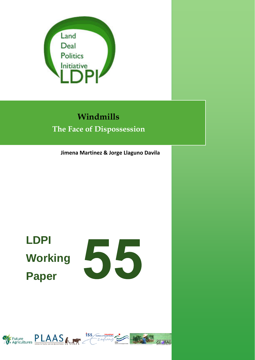

## **Windmills The Face of Dispossession**

**Jimena Martinez & Jorge Llaguno Davila**

# **LDPI Working Paper**



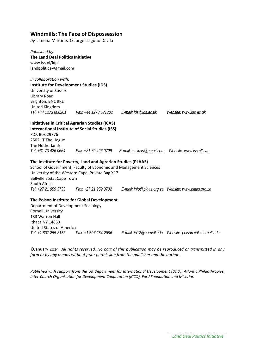#### **Windmills: The Face of Dispossession**

*by* Jimena Martinez & Jorge Llaguno Davila

*Published by:* **The Land Deal Politics Initiative** www.iss.nl/ldpi landpolitics@gmail.com

*in collaboration with:*  **Institute for Development Studies (IDS)** University of Sussex Library Road Brighton, BN1 9RE United Kingdom *Tel: +44 1273 606261 Fax: +44 1273 621202 E-mail: ids@ids.ac.uk Website: www.ids.ac.uk*  **Initiatives in Critical Agrarian Studies (ICAS) International Institute of Social Studies (ISS)** P.O. Box 29776 2502 LT The Hague The Netherlands

*Tel: +31 70 426 0664 Fax: +31 70 426 0799 E-mail: iss.icas@gmail.com Website: www.iss.nl/icas*

#### **The Institute for Poverty, Land and Agrarian Studies (PLAAS)**

School of Government, Faculty of Economic and Management Sciences University of the Western Cape, Private Bag X17 Bellville 7535, Cape Town South Africa *Tel: +27 21 959 3733 Fax: +27 21 959 3732 E-mail: info@plaas.org.za Website: www.plaas.org.za* 

#### **The Polson Institute for Global Development**

Department of Development Sociology Cornell University 133 Warren Hall Ithaca NY 14853 United States of America *Tel: +1 607 255-3163 Fax: +1 607 254-2896 E-mail: ta12@cornell.edu Website: polson.cals.cornell.edu* 

©January 2014 *All rights reserved. No part of this publication may be reproduced or transmitted in any form or by any means without prior permission from the publisher and the author.*

*Published with support from the UK Department for International Development (DfID), Atlantic Philanthropies, Inter‐Church Organization for Development Cooperation (ICCO), Ford Foundation and Miserior.*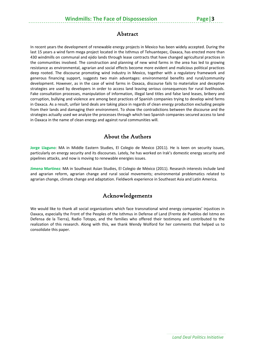#### Abstract

In recent years the development of renewable energy projects in Mexico has been widely accepted. During the last 15 years a wind farm mega project located in the Isthmus of Tehuantepec, Oaxaca, has erected more than 430 windmills on communal and ejido lands through lease contracts that have changed agricultural practices in the communities involved. The construction and planning of new wind farms in the area has led to growing resistance as environmental, agrarian and social effects become more evident and malicious political practices deep rooted. The discourse promoting wind industry in Mexico, together with a regulatory framework and generous financing support, suggests two main advantages: environmental benefits and rural/community development. However, as in the case of wind farms in Oaxaca, discourse fails to materialize and deceptive strategies are used by developers in order to access land leaving serious consequences for rural livelihoods. Fake consultation processes, manipulation of information, illegal land titles and false land leases, bribery and corruption, bullying and violence are among best practices of Spanish companies trying to develop wind farms in Oaxaca. As a result, unfair land deals are taking place in regards of clean energy production excluding people from their lands and damaging their environment. To show the contradictions between the discourse and the strategies actually used we analyze the processes through which two Spanish companies secured access to land in Oaxaca in the name of clean energy and against rural communities will.

#### About the Authors

**Jorge Llaguno**: MA in Middle Eastern Studies, El Colegio de Mexico (2011). He is keen on security issues, particularly on energy security and its discourses. Lately, he has worked on Irak's domestic energy security and pipelines attacks, and now is moving to renewable energies issues.

**Jimena Martinez**: MA in Southeast Asian Studies, El Colegio de México (2011). Research interests include land and agrarian reform, agrarian change and rural social movements; environmental problematics related to agrarian change, climate change and adaptation. Fieldwork experience in Southeast Asia and Latin America.

#### Acknowledgements

We would like to thank all social organizations which face transnational wind energy companies' injustices in Oaxaca, especially the Front of the Peoples of the Isthmus in Defense of Land (Frente de Pueblos del Istmo en Defensa de la Tierra), Radio Totopo, and the families who offered their testimony and contributed to the realization of this research. Along with this, we thank Wendy Wolford for her comments that helped us to consolidate this paper.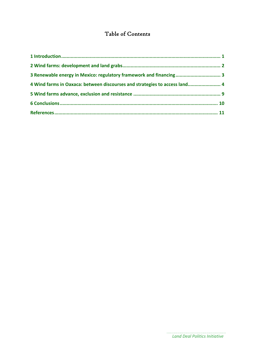### Table of Contents

| 3 Renewable energy in Mexico: regulatory framework and financing 3         |  |
|----------------------------------------------------------------------------|--|
| 4 Wind farms in Oaxaca: between discourses and strategies to access land 4 |  |
|                                                                            |  |
|                                                                            |  |
|                                                                            |  |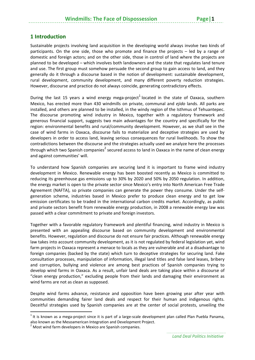#### **1 Introduction**

Sustainable projects involving land acquisition in the developing world always involve two kinds of participants. On the one side, those who promote and finance the projects – led by a range of domestic and foreign actors; and on the other side, those in control of land where the projects are planned to be developed – which involves both landowners and the state that regulates land tenure and use. The first group must somehow persuade the second group to gain access to land, and they generally do it through a discourse based in the notion of development: sustainable development, rural development, community development, and many different poverty reduction strategies. However, discourse and practice do not always coincide, generating contradictory effects.

During the last 15 years a wind energy mega-project<sup>1</sup> located in the state of Oaxaca, southern Mexico, has erected more than 430 windmills on private, communal and *ejido* lands. All parks are installed, and others are planned to be installed, in the windy region of the Isthmus of Tehuantepec. The discourse promoting wind industry in Mexico, together with a regulatory framework and generous financial support, suggests two main advantages for the country and specifically for the region: environmental benefits and rural/community development. However, as we shall see in the case of wind farms in Oaxaca, discourse fails to materialize and deceptive strategies are used by developers in order to access land, leaving serious consequences for rural livelihoods. To show the contradictions between the discourse and the strategies actually used we analyze here the processes through which two Spanish companies<sup>2</sup> secured access to land in Oaxaca in the name of clean energy and against communities' will.

To understand how Spanish companies are securing land it is important to frame wind industry development in Mexico. Renewable energy has been boosted recently as Mexico is committed to reducing its greenhouse gas emissions up to 30% by 2020 and 50% by 2050 regulation. In addition, the energy market is open to the private sector since Mexico's entry into North American Free Trade Agreement (NAFTA), so private companies can generate the power they consume. Under the self‐ generation scheme, industries based in Mexico prefer to produce clean energy and to get low emission certificates to be traded in the international carbon credits market. Accordingly, as public and private sectors benefit from renewable energy production, in 2008 a renewable energy law was passed with a clear commitment to private and foreign investors.

Together with a favorable regulatory framework and plentiful financing, wind industry in Mexico is presented with an appealing discourse based on community development and environmental benefits. However, regulation and discourse do not ensure fair practices. Although renewable energy law takes into account community development, as it is not regulated by federal legislation yet, wind farm projects in Oaxaca represent a menace to locals as they are vulnerable and at a disadvantage to foreign companies (backed by the state) which turn to deceptive strategies for securing land. Fake consultation processes, manipulation of information, illegal land titles and false land leases, bribery and corruption, bullying and violence are among best practices of Spanish companies trying to develop wind farms in Oaxaca. As a result, unfair land deals are taking place within a discourse of "clean energy production," excluding people from their lands and damaging their environment as wind farms are not as clean as supposed.

Despite wind farms advance, resistance and opposition have been growing year after year with communities demanding fairer land deals and respect for their human and indigenous rights. Deceitful strategies used by Spanish companies are at the center of social protests, unveiling the

 $1$ It is known as a mega-project since it is part of a large-scale development plan called Plan Puebla Panama, also known as the Mesoamerican Integration and Development Project.<br><sup>2</sup> Most wind farm developers in Mexico are Spanish companies.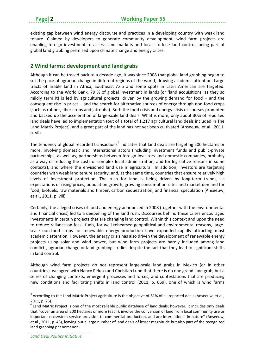existing gap between wind energy discourse and practices in a developing country with weak land tenure. Claimed by developers to generate community development, wind farm projects are enabling foreign investment to access land markets and locals to lose land control, being part of global land grabbing premised upon climate change and energy crises.

#### **2 Wind farms: development and land grabs**

Although it can be traced back to a decade ago, it was since 2008 that global land grabbing began to set the pace of agrarian change in different regions of the world, drawing academic attention. Large tracts of arable land in Africa, Southeast Asia and some spots in Latin American are targeted. According to the World Bank, 79 % of global investment in lands (or 'land acquisitions' as they so mildly term it) is led by agricultural projects<sup>3</sup> driven by the growing demand for food – and the consequent rise in prices – and the search for alternative sources of energy through non‐food crops (such as rubber, fiber crops and jatropha). Both the food crisis and energy crisis discourses promoted and backed up the acceleration of large‐scale land deals. What is more, only about 30% of reported land deals have led to implementation (out of a total of 1,217 agricultural land deals included in The Land Matrix Project), and a great part of the land has not yet been cultivated (Anseeuw, et al., 2011, p. vii).

The tendency of global recorded transactions<sup>4</sup> indicates that land deals are targeting 200 hectares or more, involving domestic and international actors (including investment funds and public‐private partnerships, as well as, partnerships between foreign investors and domestic companies, probably as a way of reducing the costs of complex local administration, and for legislative reasons in some contexts), and where the envisioned land use is agricultural. In addition, investors are targeting countries with weak land tenure security, and, at the same time, countries that ensure relatively high levels of investment protection. The rush for land is being driven by long-term trends, as expectations of rising prices, population growth, growing consumption rates and market demand for food, biofuels, raw materials and timber, carbon sequestration, and financial speculation (Anseeuw, et al., 2011, p. viii).

Certainly, the alleged crises of food and energy announced in 2008 (together with the environmental and financial crises) led to a deepening of the land rush. Discourses behind these crises encouraged investments in certain projects that are changing land control. Within this context and upon the need to reduce reliance on fossil fuels, for well-rehearsed geopolitical and environmental reasons, largescale non-food crops for renewable energy production have expanded rapidly attracting most academic attention. However, the energy crisis has also driven the development of renewable energy projects using solar and wind power, but wind farm projects are hardly included among land conflicts, agrarian change or land grabbing studies despite the fact that they lead to significant shifts in land control.

Although wind farm projects do not represent large‐scale land grabs in Mexico (or in other countries), we agree with Nancy Peluso and Christian Lund that there is no one grand land grab, but a series of changing contexts, emergent processes and forces, and contestations that are producing new conditions and facilitating shifts in land control (2011, p. 669), one of which is wind farms

 $3$  According to the Land Matrix Project agriculture is the objective of 81% of all reported deals (Anseeuw, et al.,

<sup>2011,</sup> p. 26).<br> $4$  Land Matrix Project is one of the most reliable public database of land deals; however, it includes only deals that "cover an area of 200 hectares or more (each), involve the conversion of land from local community use or important ecosystem service provision to commercial production, and are international in nature" (Anseeuw, et al., 2011, p. 48), leaving out a large number of land deals of lesser magnitude but also part of the recognized land grabbing phenomenon.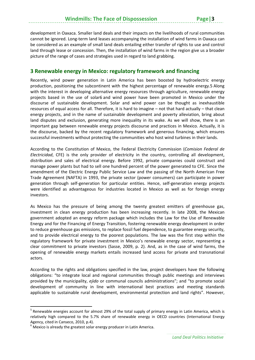development in Oaxaca. Smaller land deals and their impacts on the livelihoods of rural communities cannot be ignored. Long‐term land leases accompanying the installation of wind farms in Oaxaca can be considered as an example of small land deals entailing either transfer of rights to use and control land through lease or concession. Then, the installation of wind farms in the region give us a broader picture of the range of cases and strategies used in regard to land grabbing.

#### **3 Renewable energy in Mexico: regulatory framework and financing**

Recently, wind power generation in Latin America has been boosted by hydroelectric energy production, positioning the subcontinent with the highest percentage of renewable energy.5 Along with the interest in developing alternative energy resources through agriculture, renewable energy projects based in the use of solar6 and wind power have been promoted in Mexico under the discourse of sustainable development. Solar and wind power can be thought as inexhaustible resources of equal access for all. Therefore, it is hard to imagine – not that hard actually – that clean energy projects, and in the name of sustainable development and poverty alleviation, bring about land disputes and exclusion, generating more inequality in its wake. As we will show, there is an important gap between renewable energy projects discourse and practices in Mexico. Actually, it is the discourse, backed by the recent regulatory framework and generous financing, which ensures successful investments without protecting the communities who host wind turbines in their lands.

According to the Constitution of Mexico, the Federal Electricity Commission (*Comision Federal de Electricidad*, CFE) is the only provider of electricity in the country, controlling all development, distribution and sales of electrical energy. Before 1992, private companies could construct and manage power plants but had to sell one hundred percent of the power generated to CFE. Since the amendment of the Electric Energy Public Service Law and the passing of the North American Free Trade Agreement (NAFTA) in 1993, the private sector (power consumers) can participate in power generation through self‐generation for particular entities. Hence, self‐generation energy projects were identified as advantageous for industries located in Mexico as well as for foreign energy investors.

As Mexico has the pressure of being among the twenty greatest emitters of greenhouse gas, investment in clean energy production has been increasing recently. In late 2008, the Mexican government adopted an energy reform package which includes the Law for the Use of Renewable Energy and for the Financing of Energy Transition, fostering renewable energy development in order to reduce greenhouse gas emissions, to replace fossil fuel dependence, to guarantee energy security, and to provide electrical energy to the poorest populations. The law was the first step within the regulatory framework for private investment in Mexico's renewable energy sector, representing a clear commitment to private investors (Sasse, 2009, p. 2). And, as in the case of wind farms, the opening of renewable energy markets entails increased land access for private and transnational actors.

According to the rights and obligations specified in the law, project developers have the following obligations: "to integrate local and regional communities through public meetings and interviews provided by the municipality, *ejido* or communal councils administrations"; and "to promote social development of community in line with international best practices and meeting standards applicable to sustainable rural development, environmental protection and land rights". However,

<sup>&</sup>lt;sup>5</sup> Renewable energies account for almost 29% of the total supply of primary energy in Latin America, which is relatively high compared to the 5.7% share of renewable energy in OECD countries (International Energy

Agency, cited in Canseco, 2010, p.4).<br><sup>6</sup> Mexico is already the greatest solar energy producer in Latin America.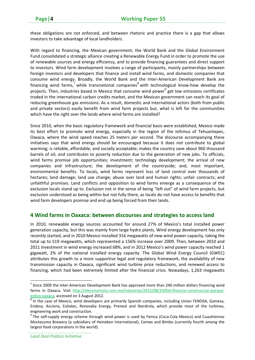these obligations are not enforced, and between rhetoric and practice there is a gap that allows investors to take advantage of local landholders.

With regard to financing, the Mexican government, the World Bank and the Global Environment Fund consolidated a strategic alliance creating a Renewable Energy Fund in order to promote the use of renewable sources and energy efficiency, and to provide financing guarantees and direct support to investors. Wind farm development involves a range of participants, mainly partnerships between foreign investors and developers that finance and install wind farms, and domestic companies that consume wind energy. Broadly, the World Bank and the Inter‐American Development Bank are financing wind farms,<sup>7</sup> while transnational companies<sup>8</sup> with technological know-how develop the projects. Then, industries based in Mexico that consume wind power $^9$  get low emissions certificates traded in the international carbon credits market, and the Mexican government can reach its goal of reducing greenhouse gas emissions. As a result, domestic and international actors (both from public and private sectors) easily benefit from wind farm projects but, what is left for the communities which have the right over the lands where wind farms are installed?

Since 2010, when the basic regulatory framework and financial basis were established, Mexico made its best effort to promote wind energy, especially in the region of the Isthmus of Tehuantepec, Oaxaca, where the wind speed reaches 25 meters per second. The discourse accompanying these initiatives says that wind energy should be encouraged because it does not contribute to global warming; is reliable, affordable, and socially acceptable; makes the country save about 960 thousand barrels of oil; and contributes to poverty reduction due to the generation of new jobs. To officials, wind farms promise job opportunities; investment; technology development; the arrival of new companies and infrastructure; the development of the countryside; and, most important, environmental benefits. To locals, wind farms represent loss of land control over thousands of hectares; land damage; land use change; abuse over land and human rights; unfair contracts; and unfaithful promises. Land conflicts and opposition to wind farms emerge as a consequence of the exclusion locals stand up to. Exclusion not in the sense of being "left out" of wind farm projects, but exclusion understood as being within but not fully there, as locals do not have access to benefits that wind farm developers promise and end up being forced from their lands.

#### **4 Wind farms in Oaxaca: between discourses and strategies to access land**

In 2010, renewable energy sources accounted for around 27% of Mexico's total installed power generation capacity, but this was mainly from large hydro plants. Wind energy development has only recently started, and in 2010 Mexico installed 316 megawatts of new wind power capacity, taking the total up to 519 megawatts, which represented a 156% increase over 2009. Then, between 2010 and 2011 investment in wind energy increased 68%, and in 2012 Mexico's wind power capacity reached 1 gigawatt, 2% of the national installed energy capacity. The Global Wind Energy Council (GWEC) attributes this growth to a more supportive legal and regulatory framework, the availability of new transmission capacity in Oaxaca, significant wind turbine price reductions, and renewed access to financing, which had been extremely limited after the financial crisis. Nowadays, 1,263 megawatts

 $<sup>7</sup>$  Since 2009 the Inter-American Development Bank has approved more than 240 million dollars financing wind</sup> farms in Oaxaca. Visit http://eleconomista.com.mx/industrias/2012/08/29/bid-financia-construccion-parque-

eolico-oaxaca, accessed on 3 August 2012.<br><sup>8</sup> In the case of Mexico, wind developers are primarily Spanish companies, including Union FENOSA, Gamesa, Endesa, Acciona, Eoliatec, Renovalia Energy, Preneal and Iberdrola, which provide most of the turbines, engineering work and construction.<br><sup>9</sup> The self-supply energy scheme through wind power is used by Femsa (Coca-Cola Mexico) and Cuauhtemoc

Moctezuma Brewery (a subsidiary of Heineken International), Cemex and Bimbo (currently fourth among the largest food corporations in the world).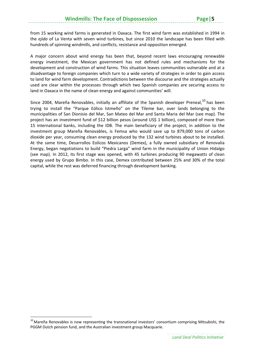from 15 working wind farms is generated in Oaxaca. The first wind farm was established in 1994 in the *ejido* of La Venta with seven wind turbines, but since 2010 the landscape has been filled with hundreds of spinning windmills, and conflicts, resistance and opposition emerged.

A major concern about wind energy has been that, beyond recent laws encouraging renewable energy investment, the Mexican government has not defined rules and mechanisms for the development and construction of wind farms. This situation leaves communities vulnerable and at a disadvantage to foreign companies which turn to a wide variety of strategies in order to gain access to land for wind farm development. Contradictions between the discourse and the strategies actually used are clear within the processes through which two Spanish companies are securing access to land in Oaxaca in the name of clean energy and against communities' will.

Since 2004, Mareña Renovables, initially an affiliate of the Spanish developer Preneal,<sup>10</sup> has been trying to install the "Parque Eólico Istmeño" on the Tileme bar, over lands belonging to the municipalities of San Dionisio del Mar, San Mateo del Mar and Santa Maria del Mar (see map). The project has an investment fund of \$12 billion pesos (around US\$ 1 billion), composed of more than 15 international banks, including the IDB. The main beneficiary of the project, in addition to the investment group Mareña Renovables, is Femsa who would save up to 879,000 tons of carbon dioxide per year, consuming clean energy produced by the 132 wind turbines about to be installed. At the same time, Desarrollos Eolicos Mexicanos (Demex), a fully owned subsidiary of Renovalia Energy, began negotiations to build "Piedra Larga" wind farm in the municipality of Union Hidalgo (see map). In 2012, its first stage was opened, with 45 turbines producing 90 megawatts of clean energy used by Grupo Bimbo. In this case, Demex contributed between 25% and 30% of the total capital, while the rest was deferred financing through development banking.

 $10$  Mareña Renovables is now representing the transnational investors' consortium comprising Mitsubishi, the PGGM Dutch pension fund, and the Australian investment group Macquarie.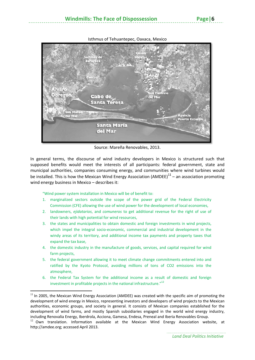#### Isthmus of Tehuantepec, Oaxaca, Mexico



Source: Mareña Renovables, 2013.

In general terms, the discourse of wind industry developers in Mexico is structured such that supposed benefits would meet the interests of all participants: federal government, state and municipal authorities, companies consuming energy, and communities where wind turbines would be installed. This is how the Mexican Wind Energy Association (AMDEE) $^{11}$  – an association promoting wind energy business in Mexico – describes it:

"Wind power system installation in Mexico will be of benefit to:

- 1. marginalized sectors outside the scope of the power grid of the Federal Electricity Commission (CFE) allowing the use of wind power for the development of local economies,
- 2. landowners, *ejidatarios*, and *comuneros* to get additional revenue for the right of use of their lands with high potential for wind resources,
- 3. the states and municipalities to obtain domestic and foreign investments in wind projects, which impel the integral socio‐economic, commercial and industrial development in the windy areas of its territory, and additional income tax payments and property taxes that expand the tax base,
- 4. the domestic industry in the manufacture of goods, services, and capital required for wind farm projects,
- 5. the federal government allowing it to meet climate change commitments entered into and ratified by the Kyoto Protocol, avoiding millions of tons of CO2 emissions into the atmosphere,
- 6. the Federal Tax System for the additional income as a result of domestic and foreign investment in profitable projects in the national infrastructure."<sup>12</sup>

 $11$  In 2005, the Mexican Wind Energy Association (AMDEE) was created with the specific aim of promoting the development of wind energy in Mexico, representing investors and developers of wind projects to the Mexican authorities, economic groups, and society in general. It consists of Mexican companies established for the development of wind farms, and mostly Spanish subsidiaries engaged in the world wind energy industry, including Renovalia Energy, Iberdrola, Acciona, Gamesa, Endesa, Preneal and Iberia Renovables Group.

 $12$  Own translation. Information available at the Mexican Wind Energy Association website, at http://amdee.org; accessed April 2013.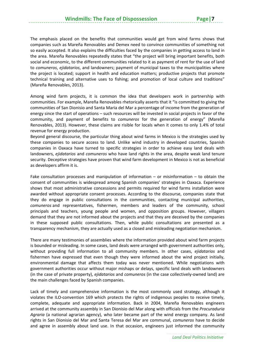The emphasis placed on the benefits that communities would get from wind farms shows that companies such as Mareña Renovables and Demex need to convince communities of something not so easily accepted. It also explains the difficulties faced by the companies in getting access to land in the area. Mareña Renovables repeatedly states that "the project will bring important benefits, both social and economic, to the different communities related to it as payment of rent for the use of land to *comuneros*, *ejidatarios*, and landowners; payment of municipal taxes to the municipalities where the project is located; support in health and education matters; productive projects that promote technical training and alternative uses to fishing; and promotion of local culture and traditions" (Mareña Renovables, 2013).

Among wind farm projects, it is common the idea that developers work in partnership with communities. For example, Mareña Renovables rhetorically asserts that it "is committed to giving the communities of San Dionisio and Santa Maria del Mar a percentage of income from the generation of energy since the start of operations – such resources will be invested in social projects in favor of the community, and payment of benefits to *comuneros* for the generation of energy" (Mareña Renovables, 2013). However, these claims are risible for locals when it comes to only 1.4% of total revenue for energy production.

Beyond general discourse, the particular thing about wind farms in Mexico is the strategies used by these companies to secure access to land. Unlike wind industry in developed countries, Spanish companies in Oaxaca have turned to specific strategies in order to achieve easy land deals with landowners, *ejidatarios* and *comuneros* who have land rights in the area, despite weak land tenure security. Deceptive strategies have proven that wind farm development in Mexico is not as beneficial as developers affirm it is.

Fake consultation processes and manipulation of information  $-$  or misinformation  $-$  to obtain the consent of communities is widespread among Spanish companies' strategies in Oaxaca. Experience shows that most administrative concessions and permits required for wind farms installation were awarded without appropriate consent processes. According to the discourse, companies state that they do engage in public consultations in the communities, contacting municipal authorities, *comuneros* and representatives, fishermen, members and leaders of the community, school principals and teachers, young people and women, and opposition groups. However, villagers demand that they are not informed about the projects and that they are deceived by the companies in these supposed public consultations. Then, while public consultations are presented as a transparency mechanism, they are actually used as a closed and misleading negotiation mechanism.

There are many testimonies of assemblies where the information provided about wind farm projects is bounded or misleading. In some cases, land deals were arranged with government authorities only, without providing full information to all community members. In other cases, *ejidatarios* and fishermen have expressed that even though they were informed about the wind project initially, environmental damage that affects them today was never mentioned. While negotiations with government authorities occur without major mishaps or delays, specific land deals with landowners (in the case of private property), *ejidatarios* and *comuneros* (in the case collectively‐owned land) are the main challenges faced by Spanish companies.

Lack of timely and comprehensive information is the most commonly used strategy, although it violates the ILO‐convention 169 which protects the rights of indigenous peoples to receive timely, complete, adequate and appropriate information. Back in 2004, Mareña Renovables engineers arrived at the community assembly in San Dionisio del Mar along with officials from the *Procuraduria Agraria* (a national agrarian agency), who later became part of the wind energy company. As land rights in San Dionisio del Mar and Santa Teresa del Mar are communal, *comuneros* have to decide and agree in assembly about land use. In that occasion, engineers just informed the community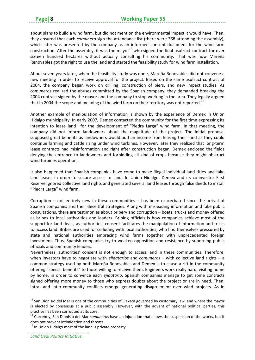about plans to build a wind farm, but did not mention the environmental impact it would have. Then, they ensured that each *comunero* sign the attendance list (there were 368 attending the assembly), which later was presented by the company as an informed consent document for the wind farm construction. After the assembly, it was the mayor $^{13}$  who signed the final usufruct contract for over sixteen hundred hectares without actually consulting his community. That was how Mareña Renovables got the right to use the land and started the feasibility study for wind farm installation.

About seven years later, when the feasibility study was done, Mareña Renovables did not convene a new meeting in order to receive approval for the project. Based on the same usufruct contract of 2004, the company began work on drilling, construction of piers, and new impact studies. As *comuneros* realized the abuses committed by the Spanish company, they demanded breaking the 2004 contract signed by the mayor and the company to stop working in the area. They legally argued that in 2004 the scope and meaning of the wind farm on their territory was not reported.<sup>14</sup>

Another example of manipulation of information is shown by the experience of Demex in Union Hidalgo municipality. In early 2007, Demex contacted the community for the first time expressing its intention to lease land<sup>15</sup> for the development of "Piedra Larga" wind farm. In that meeting, the company did not inform landowners about the magnitude of the project. The initial proposal supposed great benefits as landowners would add an income from leasing their land as they could continue farming and cattle rising under wind turbines. However, later they realized that long‐term lease contracts had misinformation and right after construction began, Demex enclosed the fields denying the entrance to landowners and forbidding all kind of crops because they might obstruct wind turbines operation.

It also happened that Spanish companies have come to make illegal individual land titles and fake land leases in order to secure access to land. In Union Hidalgo, Demex and its co-investor First Reserve ignored collective land rights and generated several land leases through false deeds to install "Piedra Larga" wind farm.

Corruption – not entirely new in these communities – has been exacerbated since the arrival of Spanish companies and their deceitful strategies. Along with misleading information and fake public consultations, there are testimonies about bribery and corruption – boats, trucks and money offered as bribes to local authorities and leaders. Bribing officials is how companies achieve most of the support for land deals, as authorities' consent facilitates the manipulation of information and tricks to access land. Bribes are used for colluding with local authorities, who find themselves pressured by state and national authorities embracing wind farms together with unprecedented foreign investment. Thus, Spanish companies try to weaken opposition and resistance by suborning public officials and community leaders.

Nevertheless, authorities' consent is not enough to access land in these communities. Therefore, when investors have to negotiate with *ejidatarios* and *comuneros* – with collective land rights – a common strategy used by both Mareña Renovables and Demex is to cause a rift in the community offering "special benefits" to those willing to receive them. Engineers work really hard, visiting home by home, in order to convince each *ejidatario*. Spanish companies manage to get some contracts signed offering more money to those who express doubts about the project or are in need. Then, intra- and inter-community conflicts emerge generating disagreement over wind projects. As in

 $13$  San Dionisio del Mar is one of the communities of Oaxaca governed by customary law, and where the mayor is elected by consensus at a public assembly. However, with the advent of national political parties, this practice has been corrupted at its core.<br><sup>14</sup> Currently, San Dionisio del Mar *comuneros* have an injunction that allows the suspension of the works, but it

does not prevent intimidation and threats.<br><sup>15</sup> In Union Hidalgo most of the land is private property.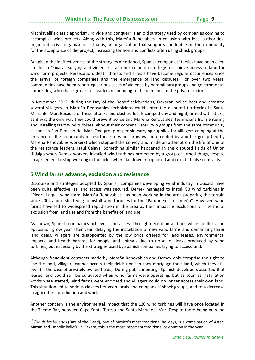Machiavelli's classic aphorism, "divide and conquer" is an old strategy used by companies coming to accomplish wind projects. Along with this, Mareña Renovables, in collusion with local authorities, organized a civic organization – that is, an organization that supports and lobbies in the community for the acceptance of the project, increasing tension and conflicts often using shock groups.

But given the ineffectiveness of the strategies mentioned, Spanish companies' tactics have been even crueler in Oaxaca. Bullying and violence is another common strategy to achieve access to land for wind farm projects. Persecution, death threats and arrests have become regular occurrences since the arrival of foreign companies and the emergence of land disputes. For over two years, communities have been reporting serious cases of violence by paramilitary groups and governmental authorities, who chase grassroots leaders responding to the demands of the private sector.

In November 2012, during the Day of the Dead<sup>16</sup> celebrations, Oaxacan police beat and arrested several villagers so Mareña Renovables technicians could enter the disputed territories in Santa Maria del Mar. Because of these attacks and clashes, locals camped day and night, armed with sticks, as it was the only way they could prevent police and Mareña Renovables' technicians from entering and installing start wind turbines without their consent. Later, two groups from the same community clashed in San Dionisio del Mar. One group of people carrying supplies for villagers camping at the entrance of the community in resistance to wind farms was intercepted by another group (led by Mareña Renovables workers) which stopped the convoy and made an attempt on the life of one of the resistance leaders, Isaul Celaya. Something similar happened in the disputed fields of Union Hidalgo when Demex workers installed wind turbines protected by a group of armed thugs, despite an agreement to stop working in the fields where landowners opposed and rejected false contracts.

#### **5 Wind farms advance, exclusion and resistance**

Discourse and strategies adopted by Spanish companies developing wind industry in Oaxaca have been quite effective, as land access was secured. Demex managed to install 90 wind turbines in "Piedra Larga" wind farm. Mareña Renovables has been working in the area preparing the terrain since 2004 and is still trying to install wind turbines for the "Parque Eolico Istmeño". However, wind farms have led to widespread repudiation in the area as their impact is exclusionary in terms of exclusion from land use and from the benefits of land use.

As shown, Spanish companies achieved land access through deception and lies while conflicts and opposition grow year after year, delaying the installation of new wind farms and demanding fairer land deals. Villagers are disappointed by the low price offered for land leases, environmental impacts, and health hazards for people and animals due to noise, oil leaks produced by wind turbines, but especially by the strategies used by Spanish companies trying to access land.

Although fraudulent contracts made by Mareña Renovables and Demex only comprise the right to use the land, villagers cannot access their fields nor can they mortgage their land, which they still own (in the case of privately owned fields). During public meetings Spanish developers asserted that leased land could still be cultivated when wind farms were operating, but as soon as installation works were started, wind farms were enclosed and villagers could no longer access their own land. This situation led to serious clashes between locals and companies' shock groups, and to a decrease in agricultural production and work.

Another concern is the environmental impact that the 130 wind turbines will have once located in the Tileme Bar, between Cape Santa Teresa and Santa María del Mar. Despite there being no wind

<sup>&</sup>lt;sup>16</sup> Dia de los Muertos (Day of the Dead), one of Mexico's most traditional holidays, is a combination of Aztec, Mayan and Catholic beliefs. In Oaxaca, this is the most important traditional celebration in the year.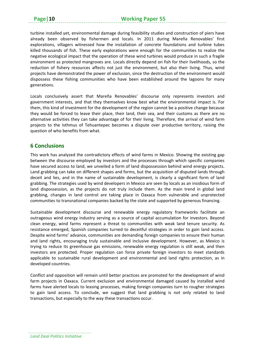turbine installed yet, environmental damage during feasibility studies and construction of piers have already been observed by fishermen and locals. In 2011 during Mareña Renovables' first explorations, villagers witnessed how the installation of concrete foundations and turbine tubes killed thousands of fish. These early explorations were enough for the communities to realize the negative ecological impact that the operation of these wind turbines would produce in such a fragile environment as protected mangroves are. Locals directly depend on fish for their livelihoods, so the reduction of fishery resources affects not just the environment, but also their living. Thus, wind projects have demonstrated the power of exclusion, since the destruction of the environment would dispossess these fishing communities who have been established around the lagoons for many generations.

Locals conclusively assert that Mareña Renovables' discourse only represents investors and government interests, and that they themselves know best what the environmental impact is. For them, this kind of investment for the development of the region cannot be a positive change because they would be forced to leave their place, their land, their sea, and their customs as there are no alternative activities they can take advantage of for their living. Therefore, the arrival of wind farm projects to the Isthmus of Tehuantepec becomes a dispute over productive territory, raising the question of who benefits from what.

#### **6 Conclusions**

This work has analyzed the contradictory effects of wind farms in Mexico. Showing the existing gap between the discourse employed by investors and the processes through which specific companies have secured access to land, we unveiled a form of land dispossession behind wind energy projects. Land grabbing can take on different shapes and forms, but the acquisition of disputed lands through deceit and lies, and in the name of sustainable development, is clearly a significant form of land grabbing. The strategies used by wind developers in Mexico are seen by locals as an insidious form of land dispossession, as the projects do not truly include them. As the main trend in global land grabbing, changes in land control are taking place in Oaxaca from vulnerable and unprotected communities to transnational companies backed by the state and supported by generous financing.

Sustainable development discourse and renewable energy regulatory frameworks facilitate an outrageous wind energy industry serving as a source of capital accumulation for investors. Beyond clean energy, wind farms represent a threat to communities with weak land tenure security. As resistance emerged, Spanish companies turned to deceitful strategies in order to gain land access. Despite wind farms' advance, communities are demanding foreign companies to ensure their human and land rights, encouraging truly sustainable and inclusive development. However, as Mexico is trying to reduce its greenhouse gas emissions, renewable energy regulation is still weak, and then investors are protected. Proper regulation can force private foreign investors to meet standards applicable to sustainable rural development and environmental and land rights protection, as in developed countries.

Conflict and opposition will remain until better practices are promoted for the development of wind farm projects in Oaxaca. Current exclusion and environmental damaged caused by installed wind farms have alerted locals to leasing processes, making foreign companies turn to rougher strategies to gain land access. To conclude, we suggest that land grabbing is not only related to land transactions, but especially to the way these transactions occur.

*Land Deal Politics Initiative*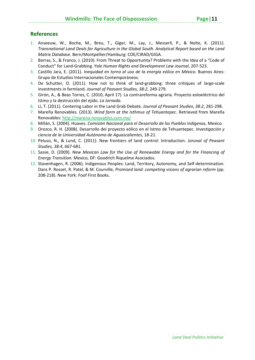- 1. Anseeuw, W., Boche, M., Breu, T., Giger, M., Lay, J., Messerli, P., & Nolte, K. (2011). *Transnational Land Deals for Agriculture in the Global South. Analytical Report based on the Land Matrix Database.* Bern/Montpellier/Hamburg: CDE/CIRAD/GIGA.
- 2. Borras, S., & Franco, J. (2010). From Threat to Opportunity? Problems with the Idea of a "Code of Conduct" for Land‐Grabbing. *Yale Human Rights and Development Law Journal*, 207‐523.
- 3. Castillo Jara, E. (2011). *Inequidad en torno al uso de la energía eólica en México.* Buenos Aires: Grupo de Estudios Internacionales Contemporáneos.
- 4. De Schutter, O. (2011). How not to think of land-grabbing: three critiques of large-scale investments in farmland. *Journal of Peasant Studies, 38:2*, 249‐279.
- 5. Girón, A., & Beas Torres, C. (2010, April 17). La contrareforma agraria. Proyecto eoloeléctrico del Istmo y la destrucción del ejido. *La Jornada*.
- 6. Li, T. (2011). Centering Labor in the Land Grab Debate. *Journal of Peasant Studies*, *38:2*, 281‐298.
- 7. Mareña Renovables. (2013). *Wind farm at the Isthmus of Tehuantepec*. Retrieved from Mareña Renovables: http://marena‐renovables.com.mx/
- 8. Millán, S. (2004). Huaves. *Comisión Nacional para el Desarrollo de los Pueblos Indígenas*, Mexico.
- 9. Orozco, R. H. (2008). Desarrollo del proyecto eólico en el Istmo de Tehuantepec. *Investigación y ciencia de la Universidad Autónoma de Aguascalientes*, 18‐21.
- 10. Peluso, N., & Lund, C. (2011). New frontiers of land control: Introduction. *Jorunal of Peasant Studies, 38:4*, 667‐681.
- 11. Sasse, D. (2009). *New Mexican Law for the Use of Renewable Energy and for the Financing of Energy Transition.* Mexico, DF: Goodrich Riquelme Asociados.
- 12. Stavenhagen, R. (2006). Indigenous Peoples: Land, Territory, Autonomy, and Self‐determination. Dans P. Rosset, R. Patel, & M. Courville, *Promised land: competing visions of agrarian reform* (pp. 208‐218). New York: Foof First Books.